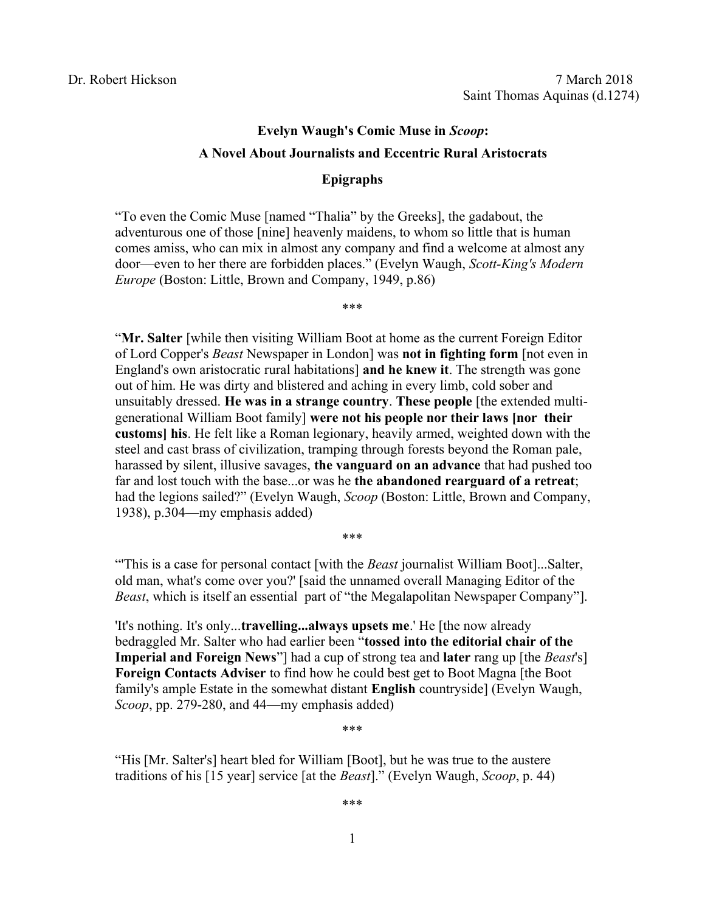# **Evelyn Waugh's Comic Muse in** *Scoop***: A Novel About Journalists and Eccentric Rural Aristocrats**

## **Epigraphs**

"To even the Comic Muse [named "Thalia" by the Greeks], the gadabout, the adventurous one of those [nine] heavenly maidens, to whom so little that is human comes amiss, who can mix in almost any company and find a welcome at almost any door—even to her there are forbidden places." (Evelyn Waugh, *Scott-King's Modern Europe* (Boston: Little, Brown and Company, 1949, p.86)

\*\*\*

"**Mr. Salter** [while then visiting William Boot at home as the current Foreign Editor of Lord Copper's *Beast* Newspaper in London] was **not in fighting form** [not even in England's own aristocratic rural habitations] **and he knew it**. The strength was gone out of him. He was dirty and blistered and aching in every limb, cold sober and unsuitably dressed. **He was in a strange country**. **These people** [the extended multigenerational William Boot family] **were not his people nor their laws [nor their customs] his**. He felt like a Roman legionary, heavily armed, weighted down with the steel and cast brass of civilization, tramping through forests beyond the Roman pale, harassed by silent, illusive savages, **the vanguard on an advance** that had pushed too far and lost touch with the base...or was he **the abandoned rearguard of a retreat**; had the legions sailed?" (Evelyn Waugh, *Scoop* (Boston: Little, Brown and Company, 1938), p.304—my emphasis added)

\*\*\*

"'This is a case for personal contact [with the *Beast* journalist William Boot]...Salter, old man, what's come over you?' [said the unnamed overall Managing Editor of the *Beast*, which is itself an essential part of "the Megalapolitan Newspaper Company"].

'It's nothing. It's only...**travelling...always upsets me**.' He [the now already bedraggled Mr. Salter who had earlier been "**tossed into the editorial chair of the Imperial and Foreign News**"] had a cup of strong tea and **later** rang up [the *Beast*'s] **Foreign Contacts Adviser** to find how he could best get to Boot Magna [the Boot family's ample Estate in the somewhat distant **English** countryside] (Evelyn Waugh, *Scoop*, pp. 279-280, and 44—my emphasis added)

\*\*\*

"His [Mr. Salter's] heart bled for William [Boot], but he was true to the austere traditions of his [15 year] service [at the *Beast*]." (Evelyn Waugh, *Scoop*, p. 44)

\*\*\*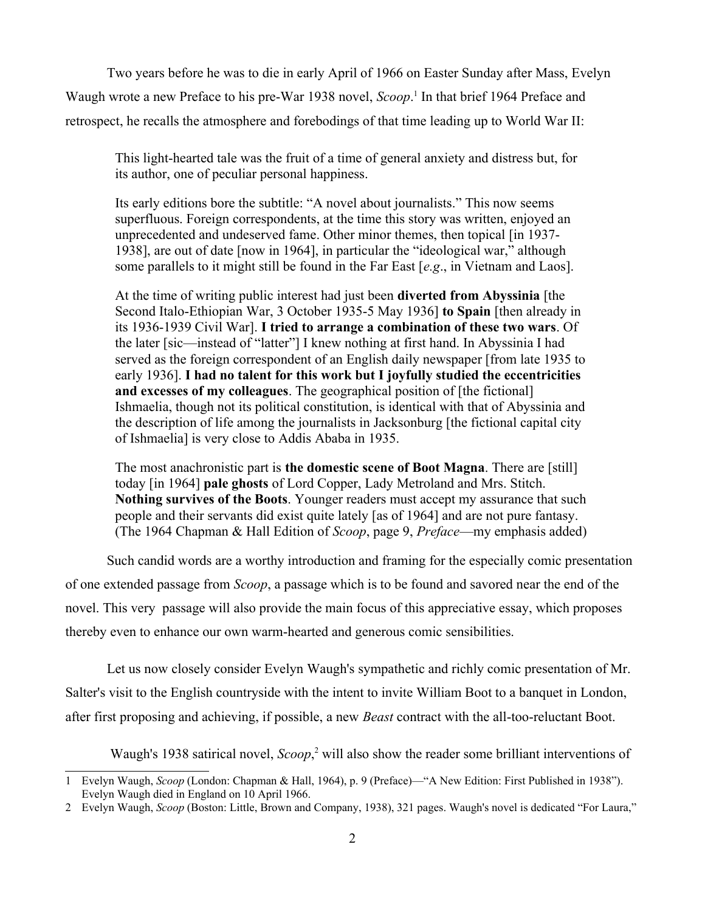Two years before he was to die in early April of 1966 on Easter Sunday after Mass, Evelyn Waugh wrote a new Preface to his pre-War [1](#page-1-0)938 novel, *Scoop*.<sup>1</sup> In that brief 1964 Preface and retrospect, he recalls the atmosphere and forebodings of that time leading up to World War II:

This light-hearted tale was the fruit of a time of general anxiety and distress but, for its author, one of peculiar personal happiness.

Its early editions bore the subtitle: "A novel about journalists." This now seems superfluous. Foreign correspondents, at the time this story was written, enjoyed an unprecedented and undeserved fame. Other minor themes, then topical [in 1937- 1938], are out of date [now in 1964], in particular the "ideological war," although some parallels to it might still be found in the Far East [*e.g*., in Vietnam and Laos].

At the time of writing public interest had just been **diverted from Abyssinia** [the Second Italo-Ethiopian War, 3 October 1935-5 May 1936] **to Spain** [then already in its 1936-1939 Civil War]. **I tried to arrange a combination of these two wars**. Of the later [sic—instead of "latter"] I knew nothing at first hand. In Abyssinia I had served as the foreign correspondent of an English daily newspaper [from late 1935 to early 1936]. **I had no talent for this work but I joyfully studied the eccentricities and excesses of my colleagues**. The geographical position of [the fictional] Ishmaelia, though not its political constitution, is identical with that of Abyssinia and the description of life among the journalists in Jacksonburg [the fictional capital city of Ishmaelia] is very close to Addis Ababa in 1935.

The most anachronistic part is **the domestic scene of Boot Magna**. There are [still] today [in 1964] **pale ghosts** of Lord Copper, Lady Metroland and Mrs. Stitch. **Nothing survives of the Boots**. Younger readers must accept my assurance that such people and their servants did exist quite lately [as of 1964] and are not pure fantasy. (The 1964 Chapman & Hall Edition of *Scoop*, page 9, *Preface*—my emphasis added)

Such candid words are a worthy introduction and framing for the especially comic presentation of one extended passage from *Scoop*, a passage which is to be found and savored near the end of the novel. This very passage will also provide the main focus of this appreciative essay, which proposes thereby even to enhance our own warm-hearted and generous comic sensibilities.

Let us now closely consider Evelyn Waugh's sympathetic and richly comic presentation of Mr. Salter's visit to the English countryside with the intent to invite William Boot to a banquet in London, after first proposing and achieving, if possible, a new *Beast* contract with the all-too-reluctant Boot.

Waugh's 1938 satirical novel, *Scoop*,<sup>[2](#page-1-1)</sup> will also show the reader some brilliant interventions of

<span id="page-1-0"></span><sup>1</sup> Evelyn Waugh, *Scoop* (London: Chapman & Hall, 1964), p. 9 (Preface)—"A New Edition: First Published in 1938"). Evelyn Waugh died in England on 10 April 1966.

<span id="page-1-1"></span><sup>2</sup> Evelyn Waugh, *Scoop* (Boston: Little, Brown and Company, 1938), 321 pages. Waugh's novel is dedicated "For Laura,"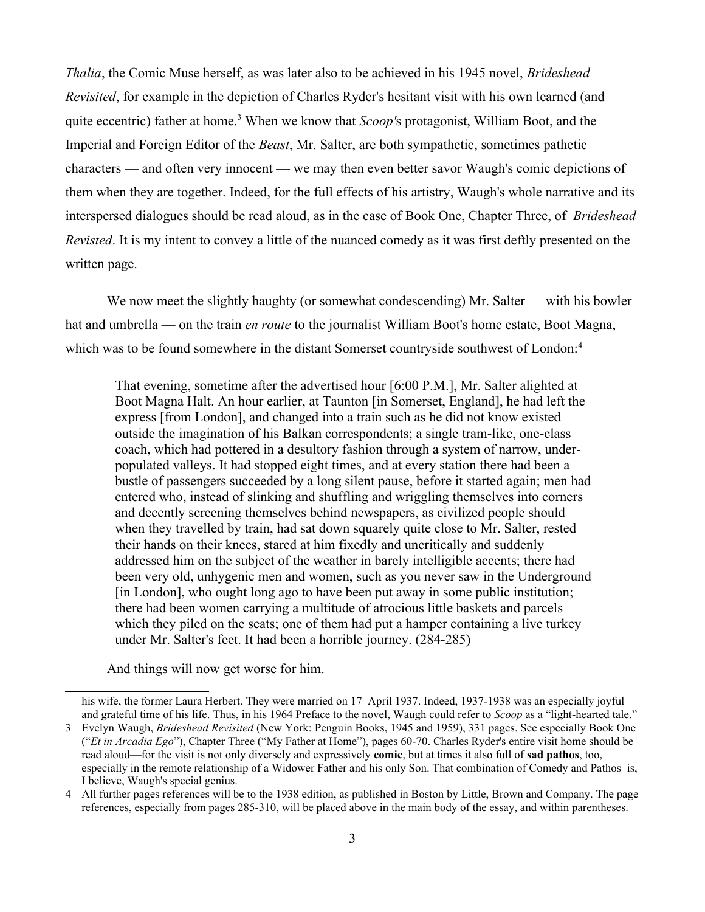*Thalia*, the Comic Muse herself, as was later also to be achieved in his 1945 novel, *Brideshead Revisited*, for example in the depiction of Charles Ryder's hesitant visit with his own learned (and quite eccentric) father at home.<sup>[3](#page-2-0)</sup> When we know that *Scoop'*s protagonist, William Boot, and the Imperial and Foreign Editor of the *Beast*, Mr. Salter, are both sympathetic, sometimes pathetic characters — and often very innocent — we may then even better savor Waugh's comic depictions of them when they are together. Indeed, for the full effects of his artistry, Waugh's whole narrative and its interspersed dialogues should be read aloud, as in the case of Book One, Chapter Three, of *Brideshead Revisted*. It is my intent to convey a little of the nuanced comedy as it was first deftly presented on the written page.

We now meet the slightly haughty (or somewhat condescending) Mr. Salter — with his bowler hat and umbrella — on the train *en route* to the journalist William Boot's home estate, Boot Magna, which was to be found somewhere in the distant Somerset countryside southwest of London:<sup>[4](#page-2-1)</sup>

That evening, sometime after the advertised hour [6:00 P.M.], Mr. Salter alighted at Boot Magna Halt. An hour earlier, at Taunton [in Somerset, England], he had left the express [from London], and changed into a train such as he did not know existed outside the imagination of his Balkan correspondents; a single tram-like, one-class coach, which had pottered in a desultory fashion through a system of narrow, underpopulated valleys. It had stopped eight times, and at every station there had been a bustle of passengers succeeded by a long silent pause, before it started again; men had entered who, instead of slinking and shuffling and wriggling themselves into corners and decently screening themselves behind newspapers, as civilized people should when they travelled by train, had sat down squarely quite close to Mr. Salter, rested their hands on their knees, stared at him fixedly and uncritically and suddenly addressed him on the subject of the weather in barely intelligible accents; there had been very old, unhygenic men and women, such as you never saw in the Underground [in London], who ought long ago to have been put away in some public institution; there had been women carrying a multitude of atrocious little baskets and parcels which they piled on the seats; one of them had put a hamper containing a live turkey under Mr. Salter's feet. It had been a horrible journey. (284-285)

And things will now get worse for him.

his wife, the former Laura Herbert. They were married on 17 April 1937. Indeed, 1937-1938 was an especially joyful and grateful time of his life. Thus, in his 1964 Preface to the novel, Waugh could refer to *Scoop* as a "light-hearted tale."

<span id="page-2-0"></span><sup>3</sup> Evelyn Waugh, *Brideshead Revisited* (New York: Penguin Books, 1945 and 1959), 331 pages. See especially Book One ("*Et in Arcadia Ego*"), Chapter Three ("My Father at Home"), pages 60-70. Charles Ryder's entire visit home should be read aloud—for the visit is not only diversely and expressively **comic**, but at times it also full of **sad pathos**, too, especially in the remote relationship of a Widower Father and his only Son. That combination of Comedy and Pathos is, I believe, Waugh's special genius.

<span id="page-2-1"></span><sup>4</sup> All further pages references will be to the 1938 edition, as published in Boston by Little, Brown and Company. The page references, especially from pages 285-310, will be placed above in the main body of the essay, and within parentheses.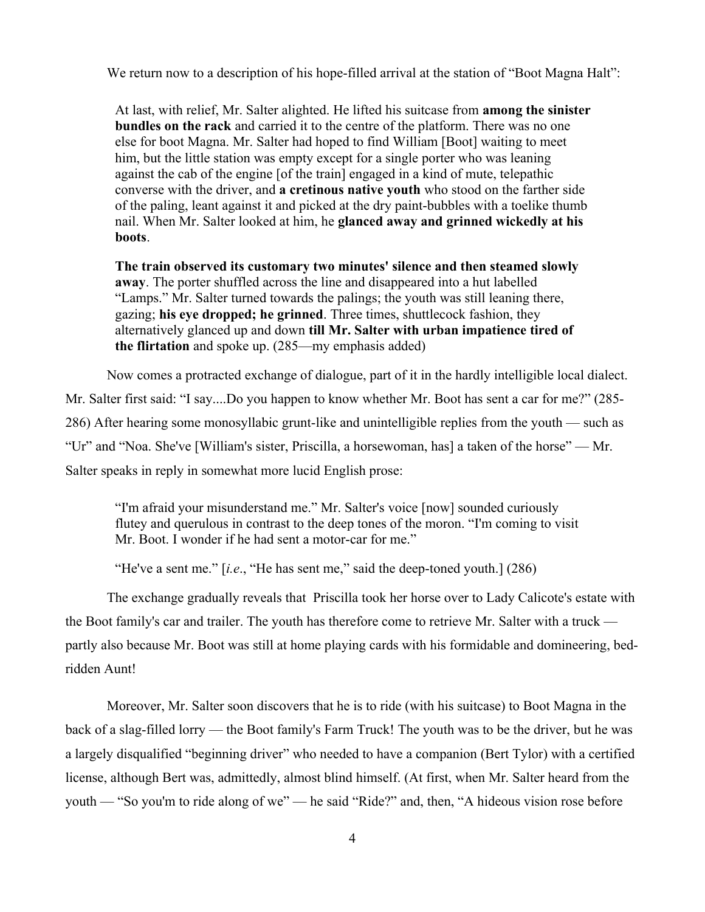We return now to a description of his hope-filled arrival at the station of "Boot Magna Halt":

At last, with relief, Mr. Salter alighted. He lifted his suitcase from **among the sinister bundles on the rack** and carried it to the centre of the platform. There was no one else for boot Magna. Mr. Salter had hoped to find William [Boot] waiting to meet him, but the little station was empty except for a single porter who was leaning against the cab of the engine [of the train] engaged in a kind of mute, telepathic converse with the driver, and **a cretinous native youth** who stood on the farther side of the paling, leant against it and picked at the dry paint-bubbles with a toelike thumb nail. When Mr. Salter looked at him, he **glanced away and grinned wickedly at his boots**.

**The train observed its customary two minutes' silence and then steamed slowly away**. The porter shuffled across the line and disappeared into a hut labelled "Lamps." Mr. Salter turned towards the palings; the youth was still leaning there, gazing; **his eye dropped; he grinned**. Three times, shuttlecock fashion, they alternatively glanced up and down **till Mr. Salter with urban impatience tired of the flirtation** and spoke up. (285—my emphasis added)

Now comes a protracted exchange of dialogue, part of it in the hardly intelligible local dialect. Mr. Salter first said: "I say....Do you happen to know whether Mr. Boot has sent a car for me?" (285- 286) After hearing some monosyllabic grunt-like and unintelligible replies from the youth — such as "Ur" and "Noa. She've [William's sister, Priscilla, a horsewoman, has] a taken of the horse" — Mr. Salter speaks in reply in somewhat more lucid English prose:

"I'm afraid your misunderstand me." Mr. Salter's voice [now] sounded curiously flutey and querulous in contrast to the deep tones of the moron. "I'm coming to visit Mr. Boot. I wonder if he had sent a motor-car for me."

"He've a sent me." [*i.e*., "He has sent me," said the deep-toned youth.] (286)

The exchange gradually reveals that Priscilla took her horse over to Lady Calicote's estate with the Boot family's car and trailer. The youth has therefore come to retrieve Mr. Salter with a truck partly also because Mr. Boot was still at home playing cards with his formidable and domineering, bedridden Aunt!

Moreover, Mr. Salter soon discovers that he is to ride (with his suitcase) to Boot Magna in the back of a slag-filled lorry — the Boot family's Farm Truck! The youth was to be the driver, but he was a largely disqualified "beginning driver" who needed to have a companion (Bert Tylor) with a certified license, although Bert was, admittedly, almost blind himself. (At first, when Mr. Salter heard from the youth — "So you'm to ride along of we" — he said "Ride?" and, then, "A hideous vision rose before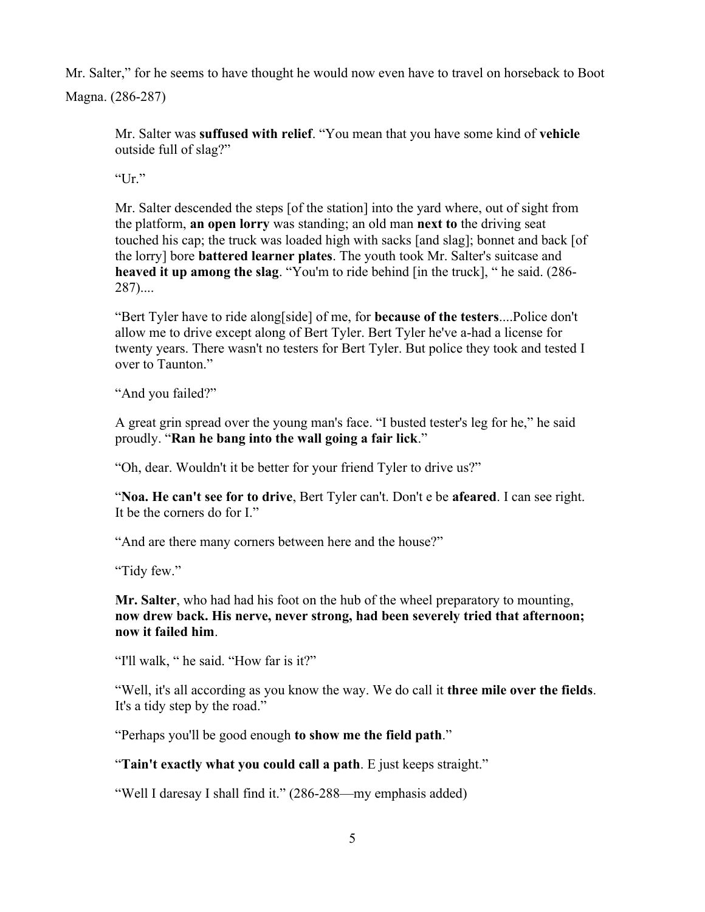Mr. Salter," for he seems to have thought he would now even have to travel on horseback to Boot Magna. (286-287)

Mr. Salter was **suffused with relief**. "You mean that you have some kind of **vehicle** outside full of slag?"

"Ur."

Mr. Salter descended the steps [of the station] into the yard where, out of sight from the platform, **an open lorry** was standing; an old man **next to** the driving seat touched his cap; the truck was loaded high with sacks [and slag]; bonnet and back [of the lorry] bore **battered learner plates**. The youth took Mr. Salter's suitcase and **heaved it up among the slag**. "You'm to ride behind [in the truck], " he said. (286- 287)....

"Bert Tyler have to ride along[side] of me, for **because of the testers**....Police don't allow me to drive except along of Bert Tyler. Bert Tyler he've a-had a license for twenty years. There wasn't no testers for Bert Tyler. But police they took and tested I over to Taunton."

"And you failed?"

A great grin spread over the young man's face. "I busted tester's leg for he," he said proudly. "**Ran he bang into the wall going a fair lick**."

"Oh, dear. Wouldn't it be better for your friend Tyler to drive us?"

"**Noa. He can't see for to drive**, Bert Tyler can't. Don't e be **afeared**. I can see right. It be the corners do for I."

"And are there many corners between here and the house?"

"Tidy few."

**Mr. Salter**, who had had his foot on the hub of the wheel preparatory to mounting, **now drew back. His nerve, never strong, had been severely tried that afternoon; now it failed him**.

"I'll walk, " he said. "How far is it?"

"Well, it's all according as you know the way. We do call it **three mile over the fields**. It's a tidy step by the road."

"Perhaps you'll be good enough **to show me the field path**."

"**Tain't exactly what you could call a path**. E just keeps straight."

"Well I daresay I shall find it." (286-288—my emphasis added)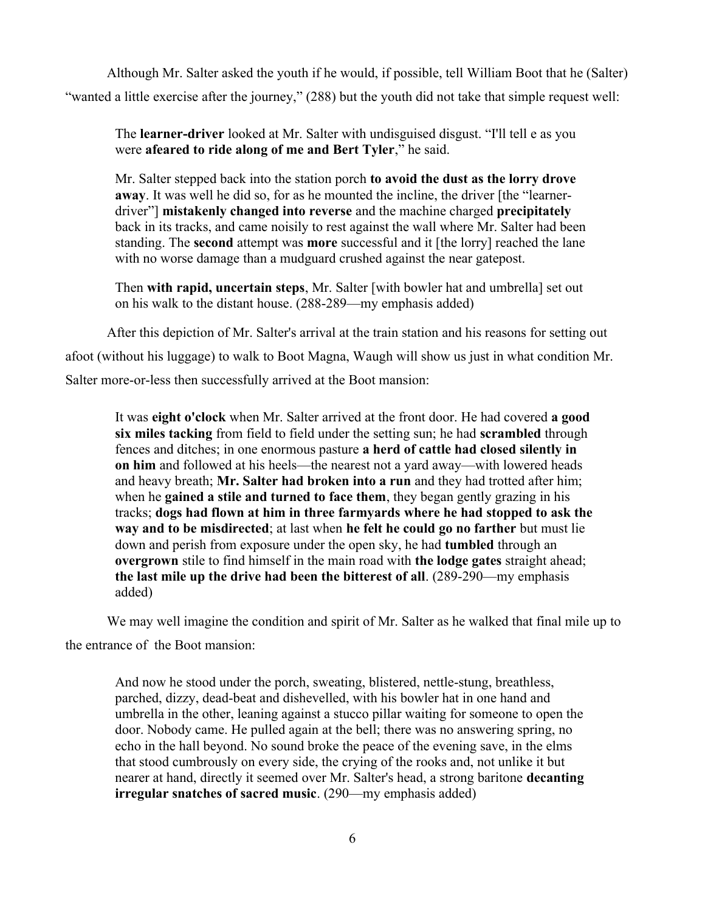Although Mr. Salter asked the youth if he would, if possible, tell William Boot that he (Salter) "wanted a little exercise after the journey," (288) but the youth did not take that simple request well:

The **learner-driver** looked at Mr. Salter with undisguised disgust. "I'll tell e as you were **afeared to ride along of me and Bert Tyler**," he said.

Mr. Salter stepped back into the station porch **to avoid the dust as the lorry drove away**. It was well he did so, for as he mounted the incline, the driver [the "learnerdriver"] **mistakenly changed into reverse** and the machine charged **precipitately** back in its tracks, and came noisily to rest against the wall where Mr. Salter had been standing. The **second** attempt was **more** successful and it [the lorry] reached the lane with no worse damage than a mudguard crushed against the near gatepost.

Then **with rapid, uncertain steps**, Mr. Salter [with bowler hat and umbrella] set out on his walk to the distant house. (288-289—my emphasis added)

After this depiction of Mr. Salter's arrival at the train station and his reasons for setting out afoot (without his luggage) to walk to Boot Magna, Waugh will show us just in what condition Mr. Salter more-or-less then successfully arrived at the Boot mansion:

It was **eight o'clock** when Mr. Salter arrived at the front door. He had covered **a good six miles tacking** from field to field under the setting sun; he had **scrambled** through fences and ditches; in one enormous pasture **a herd of cattle had closed silently in on him** and followed at his heels—the nearest not a yard away—with lowered heads and heavy breath; **Mr. Salter had broken into a run** and they had trotted after him; when he **gained a stile and turned to face them**, they began gently grazing in his tracks; **dogs had flown at him in three farmyards where he had stopped to ask the way and to be misdirected**; at last when **he felt he could go no farther** but must lie down and perish from exposure under the open sky, he had **tumbled** through an **overgrown** stile to find himself in the main road with **the lodge gates** straight ahead; **the last mile up the drive had been the bitterest of all**. (289-290—my emphasis added)

We may well imagine the condition and spirit of Mr. Salter as he walked that final mile up to the entrance of the Boot mansion:

And now he stood under the porch, sweating, blistered, nettle-stung, breathless, parched, dizzy, dead-beat and dishevelled, with his bowler hat in one hand and umbrella in the other, leaning against a stucco pillar waiting for someone to open the door. Nobody came. He pulled again at the bell; there was no answering spring, no echo in the hall beyond. No sound broke the peace of the evening save, in the elms that stood cumbrously on every side, the crying of the rooks and, not unlike it but nearer at hand, directly it seemed over Mr. Salter's head, a strong baritone **decanting irregular snatches of sacred music**. (290—my emphasis added)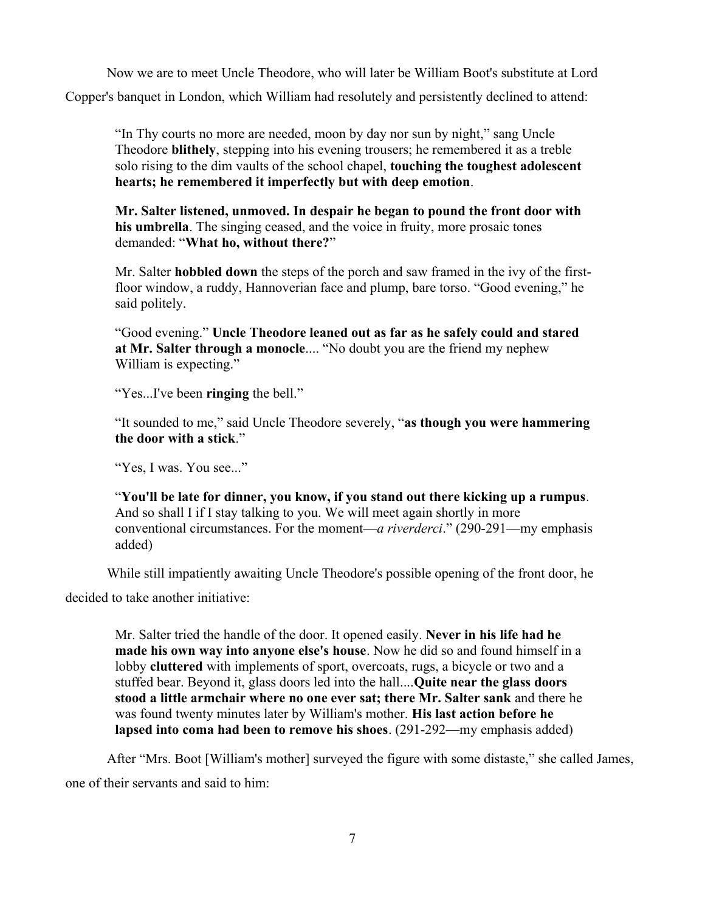Now we are to meet Uncle Theodore, who will later be William Boot's substitute at Lord Copper's banquet in London, which William had resolutely and persistently declined to attend:

"In Thy courts no more are needed, moon by day nor sun by night," sang Uncle Theodore **blithely**, stepping into his evening trousers; he remembered it as a treble solo rising to the dim vaults of the school chapel, **touching the toughest adolescent hearts; he remembered it imperfectly but with deep emotion**.

**Mr. Salter listened, unmoved. In despair he began to pound the front door with his umbrella**. The singing ceased, and the voice in fruity, more prosaic tones demanded: "**What ho, without there?**"

Mr. Salter **hobbled down** the steps of the porch and saw framed in the ivy of the firstfloor window, a ruddy, Hannoverian face and plump, bare torso. "Good evening," he said politely.

"Good evening." **Uncle Theodore leaned out as far as he safely could and stared at Mr. Salter through a monocle**.... "No doubt you are the friend my nephew William is expecting."

"Yes...I've been **ringing** the bell."

"It sounded to me," said Uncle Theodore severely, "**as though you were hammering the door with a stick**."

"Yes, I was. You see..."

"**You'll be late for dinner, you know, if you stand out there kicking up a rumpus**. And so shall I if I stay talking to you. We will meet again shortly in more conventional circumstances. For the moment—*a riverderci*." (290-291—my emphasis added)

While still impatiently awaiting Uncle Theodore's possible opening of the front door, he

decided to take another initiative:

Mr. Salter tried the handle of the door. It opened easily. **Never in his life had he made his own way into anyone else's house**. Now he did so and found himself in a lobby **cluttered** with implements of sport, overcoats, rugs, a bicycle or two and a stuffed bear. Beyond it, glass doors led into the hall....**Quite near the glass doors stood a little armchair where no one ever sat; there Mr. Salter sank** and there he was found twenty minutes later by William's mother. **His last action before he lapsed into coma had been to remove his shoes**. (291-292—my emphasis added)

After "Mrs. Boot [William's mother] surveyed the figure with some distaste," she called James, one of their servants and said to him: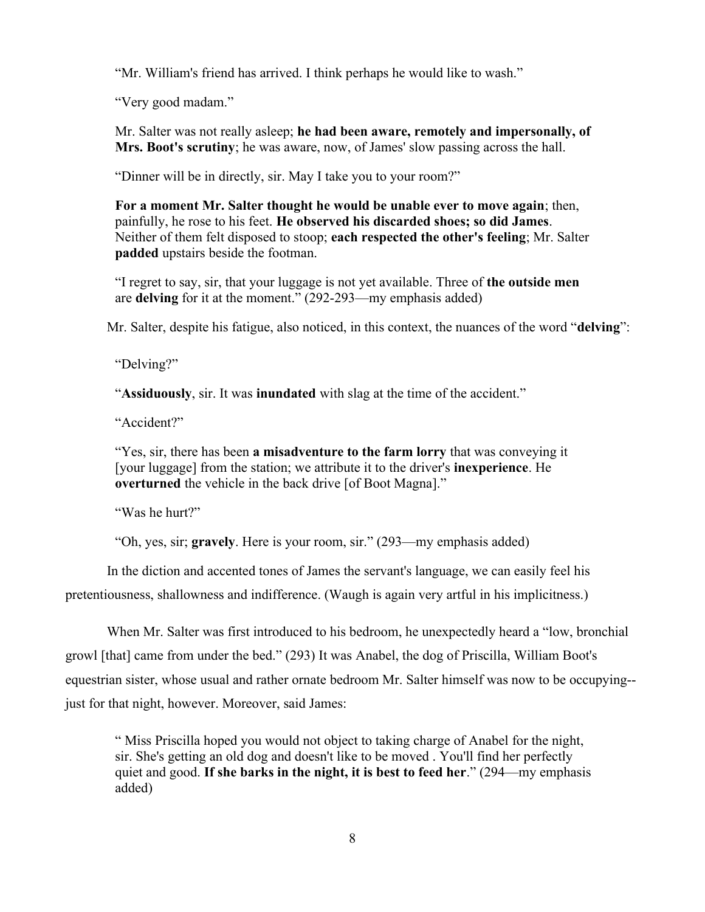"Mr. William's friend has arrived. I think perhaps he would like to wash."

"Very good madam."

Mr. Salter was not really asleep; **he had been aware, remotely and impersonally, of Mrs. Boot's scrutiny**; he was aware, now, of James' slow passing across the hall.

"Dinner will be in directly, sir. May I take you to your room?"

**For a moment Mr. Salter thought he would be unable ever to move again**; then, painfully, he rose to his feet. **He observed his discarded shoes; so did James**. Neither of them felt disposed to stoop; **each respected the other's feeling**; Mr. Salter **padded** upstairs beside the footman.

"I regret to say, sir, that your luggage is not yet available. Three of **the outside men** are **delving** for it at the moment." (292-293—my emphasis added)

Mr. Salter, despite his fatigue, also noticed, in this context, the nuances of the word "**delving**":

"Delving?"

"**Assiduously**, sir. It was **inundated** with slag at the time of the accident."

"Accident?"

"Yes, sir, there has been **a misadventure to the farm lorry** that was conveying it [your luggage] from the station; we attribute it to the driver's **inexperience**. He **overturned** the vehicle in the back drive [of Boot Magna]."

"Was he hurt?"

"Oh, yes, sir; **gravely**. Here is your room, sir." (293—my emphasis added)

In the diction and accented tones of James the servant's language, we can easily feel his pretentiousness, shallowness and indifference. (Waugh is again very artful in his implicitness.)

When Mr. Salter was first introduced to his bedroom, he unexpectedly heard a "low, bronchial growl [that] came from under the bed." (293) It was Anabel, the dog of Priscilla, William Boot's equestrian sister, whose usual and rather ornate bedroom Mr. Salter himself was now to be occupying- just for that night, however. Moreover, said James:

" Miss Priscilla hoped you would not object to taking charge of Anabel for the night, sir. She's getting an old dog and doesn't like to be moved . You'll find her perfectly quiet and good. **If she barks in the night, it is best to feed her**." (294—my emphasis added)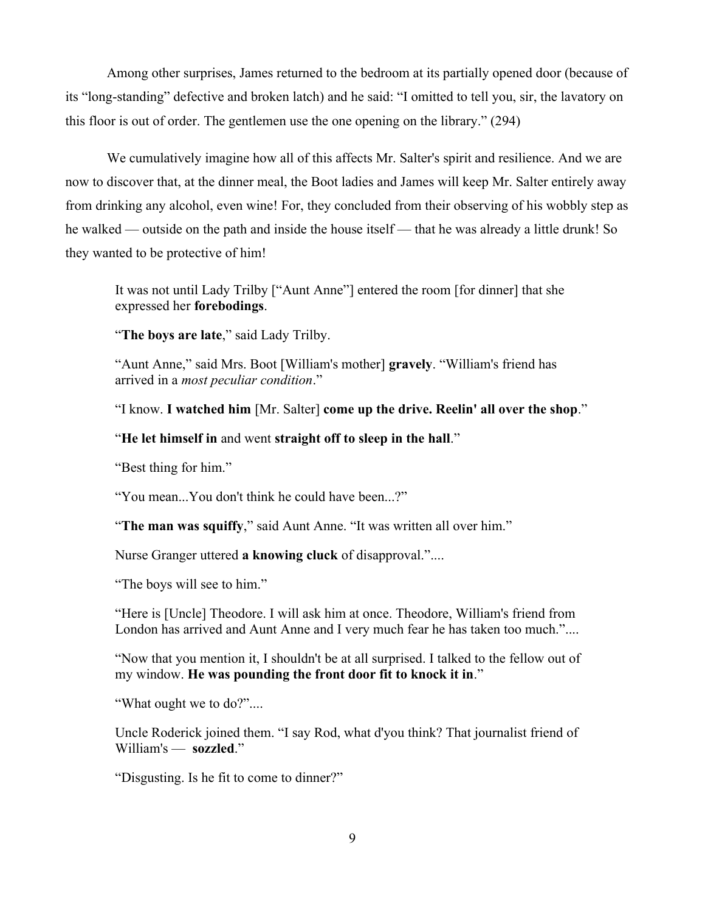Among other surprises, James returned to the bedroom at its partially opened door (because of its "long-standing" defective and broken latch) and he said: "I omitted to tell you, sir, the lavatory on this floor is out of order. The gentlemen use the one opening on the library." (294)

We cumulatively imagine how all of this affects Mr. Salter's spirit and resilience. And we are now to discover that, at the dinner meal, the Boot ladies and James will keep Mr. Salter entirely away from drinking any alcohol, even wine! For, they concluded from their observing of his wobbly step as he walked — outside on the path and inside the house itself — that he was already a little drunk! So they wanted to be protective of him!

It was not until Lady Trilby ["Aunt Anne"] entered the room [for dinner] that she expressed her **forebodings**.

"**The boys are late**," said Lady Trilby.

"Aunt Anne," said Mrs. Boot [William's mother] **gravely**. "William's friend has arrived in a *most peculiar condition*."

"I know. **I watched him** [Mr. Salter] **come up the drive. Reelin' all over the shop**."

## "**He let himself in** and went **straight off to sleep in the hall**."

"Best thing for him."

"You mean...You don't think he could have been...?"

"The man was squiffy," said Aunt Anne. "It was written all over him."

Nurse Granger uttered **a knowing cluck** of disapproval."....

"The boys will see to him."

"Here is [Uncle] Theodore. I will ask him at once. Theodore, William's friend from London has arrived and Aunt Anne and I very much fear he has taken too much."....

"Now that you mention it, I shouldn't be at all surprised. I talked to the fellow out of my window. **He was pounding the front door fit to knock it in**."

"What ought we to do?"....

Uncle Roderick joined them. "I say Rod, what d'you think? That journalist friend of William's — **sozzled**."

"Disgusting. Is he fit to come to dinner?"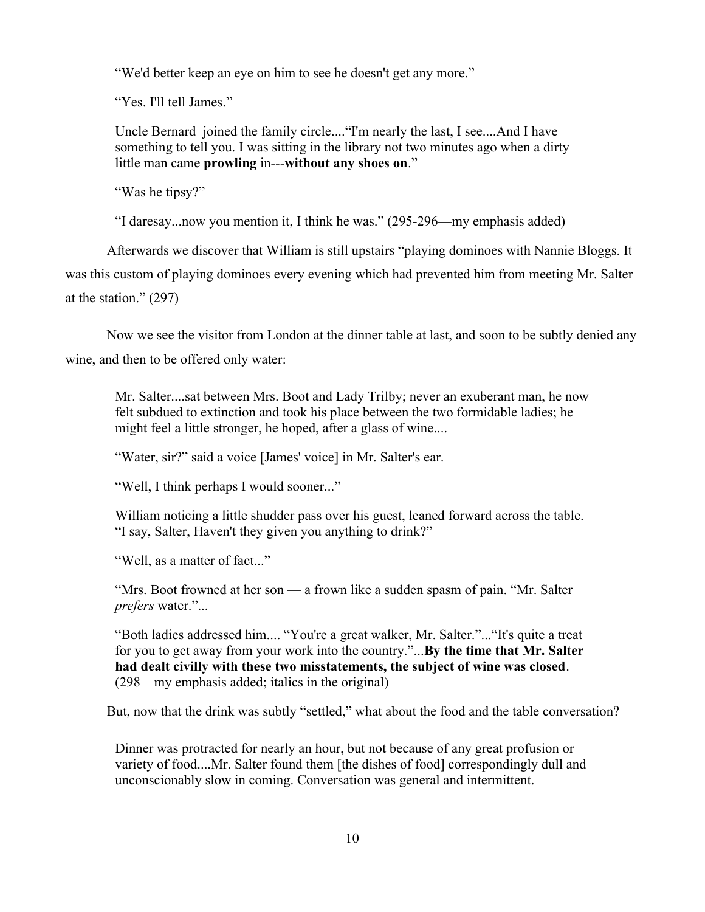"We'd better keep an eye on him to see he doesn't get any more."

"Yes. I'll tell James."

Uncle Bernard joined the family circle...."I'm nearly the last, I see....And I have something to tell you. I was sitting in the library not two minutes ago when a dirty little man came **prowling** in---**without any shoes on**."

"Was he tipsy?"

"I daresay...now you mention it, I think he was." (295-296—my emphasis added)

Afterwards we discover that William is still upstairs "playing dominoes with Nannie Bloggs. It was this custom of playing dominoes every evening which had prevented him from meeting Mr. Salter at the station." (297)

Now we see the visitor from London at the dinner table at last, and soon to be subtly denied any wine, and then to be offered only water:

Mr. Salter....sat between Mrs. Boot and Lady Trilby; never an exuberant man, he now felt subdued to extinction and took his place between the two formidable ladies; he might feel a little stronger, he hoped, after a glass of wine....

"Water, sir?" said a voice [James' voice] in Mr. Salter's ear.

"Well, I think perhaps I would sooner..."

William noticing a little shudder pass over his guest, leaned forward across the table. "I say, Salter, Haven't they given you anything to drink?"

"Well, as a matter of fact..."

"Mrs. Boot frowned at her son — a frown like a sudden spasm of pain. "Mr. Salter *prefers* water."...

"Both ladies addressed him.... "You're a great walker, Mr. Salter."..."It's quite a treat for you to get away from your work into the country."...**By the time that Mr. Salter had dealt civilly with these two misstatements, the subject of wine was closed**. (298—my emphasis added; italics in the original)

But, now that the drink was subtly "settled," what about the food and the table conversation?

Dinner was protracted for nearly an hour, but not because of any great profusion or variety of food....Mr. Salter found them [the dishes of food] correspondingly dull and unconscionably slow in coming. Conversation was general and intermittent.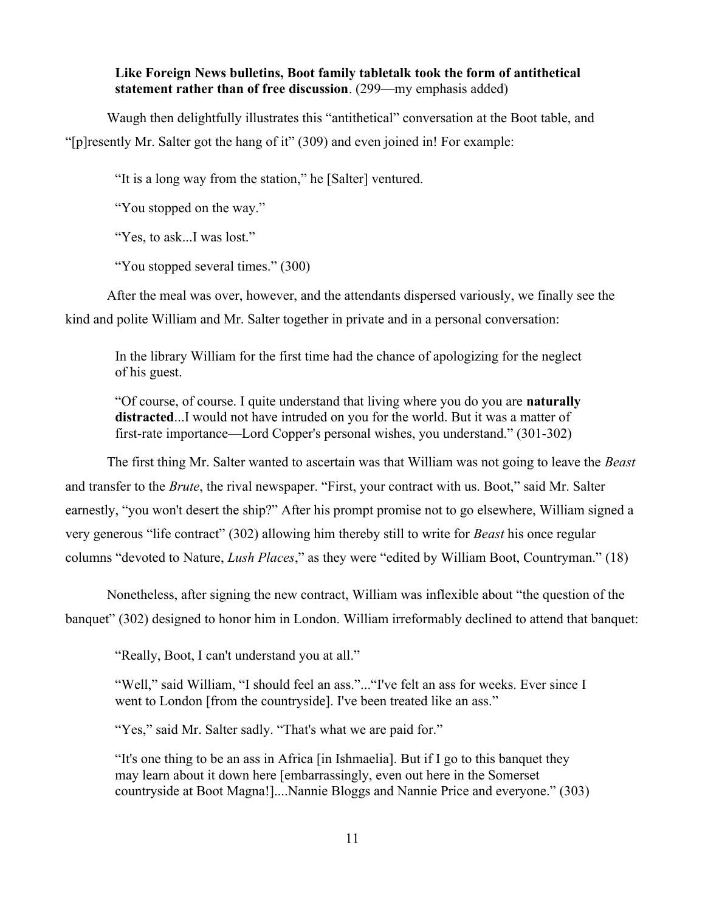### **Like Foreign News bulletins, Boot family tabletalk took the form of antithetical statement rather than of free discussion**. (299—my emphasis added)

Waugh then delightfully illustrates this "antithetical" conversation at the Boot table, and "[p]resently Mr. Salter got the hang of it" (309) and even joined in! For example:

"It is a long way from the station," he [Salter] ventured.

"You stopped on the way."

"Yes, to ask...I was lost."

"You stopped several times." (300)

After the meal was over, however, and the attendants dispersed variously, we finally see the kind and polite William and Mr. Salter together in private and in a personal conversation:

In the library William for the first time had the chance of apologizing for the neglect of his guest.

"Of course, of course. I quite understand that living where you do you are **naturally distracted**...I would not have intruded on you for the world. But it was a matter of first-rate importance—Lord Copper's personal wishes, you understand." (301-302)

The first thing Mr. Salter wanted to ascertain was that William was not going to leave the *Beast* and transfer to the *Brute*, the rival newspaper. "First, your contract with us. Boot," said Mr. Salter earnestly, "you won't desert the ship?" After his prompt promise not to go elsewhere, William signed a very generous "life contract" (302) allowing him thereby still to write for *Beast* his once regular columns "devoted to Nature, *Lush Places*," as they were "edited by William Boot, Countryman." (18)

Nonetheless, after signing the new contract, William was inflexible about "the question of the banquet" (302) designed to honor him in London. William irreformably declined to attend that banquet:

"Really, Boot, I can't understand you at all."

"Well," said William, "I should feel an ass."..."I've felt an ass for weeks. Ever since I went to London [from the countryside]. I've been treated like an ass."

"Yes," said Mr. Salter sadly. "That's what we are paid for."

"It's one thing to be an ass in Africa [in Ishmaelia]. But if I go to this banquet they may learn about it down here [embarrassingly, even out here in the Somerset countryside at Boot Magna!]....Nannie Bloggs and Nannie Price and everyone." (303)